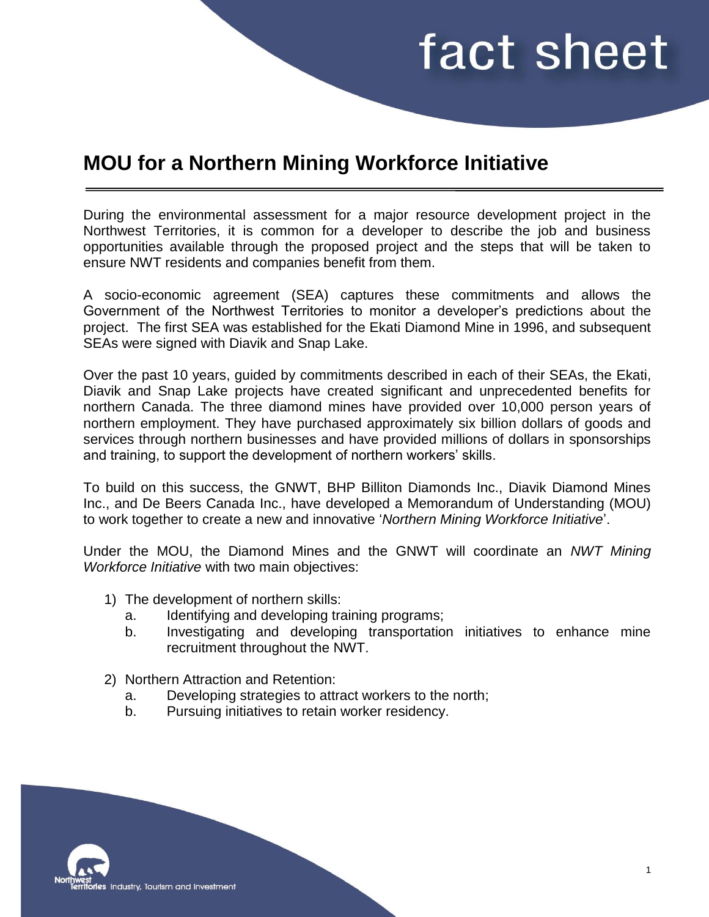## fact sheet

## **MOU for a Northern Mining Workforce Initiative**

During the environmental assessment for a major resource development project in the Northwest Territories, it is common for a developer to describe the job and business opportunities available through the proposed project and the steps that will be taken to ensure NWT residents and companies benefit from them.

A socio-economic agreement (SEA) captures these commitments and allows the Government of the Northwest Territories to monitor a developer's predictions about the project. The first SEA was established for the Ekati Diamond Mine in 1996, and subsequent SEAs were signed with Diavik and Snap Lake.

Over the past 10 years, guided by commitments described in each of their SEAs, the Ekati, Diavik and Snap Lake projects have created significant and unprecedented benefits for northern Canada. The three diamond mines have provided over 10,000 person years of northern employment. They have purchased approximately six billion dollars of goods and services through northern businesses and have provided millions of dollars in sponsorships and training, to support the development of northern workers' skills.

To build on this success, the GNWT, BHP Billiton Diamonds Inc., Diavik Diamond Mines Inc., and De Beers Canada Inc., have developed a Memorandum of Understanding (MOU) to work together to create a new and innovative '*Northern Mining Workforce Initiative*'.

Under the MOU, the Diamond Mines and the GNWT will coordinate an *NWT Mining Workforce Initiative* with two main objectives:

- 1) The development of northern skills:
	- a. Identifying and developing training programs;
	- b. Investigating and developing transportation initiatives to enhance mine recruitment throughout the NWT.
- 2) Northern Attraction and Retention:
	- a. Developing strategies to attract workers to the north;
	- b. Pursuing initiatives to retain worker residency.